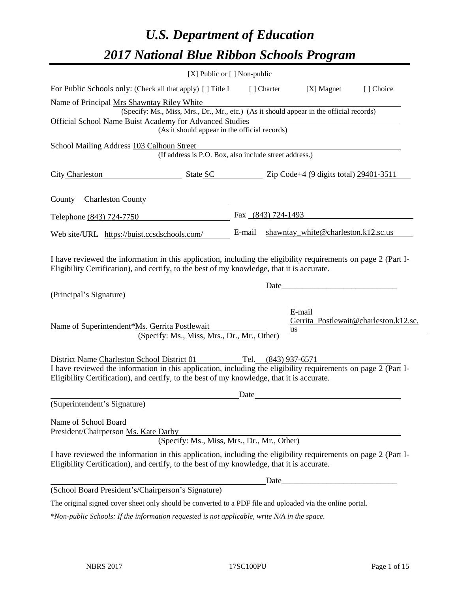# *U.S. Department of Education 2017 National Blue Ribbon Schools Program*

|                                                              | [X] Public or [] Non-public                                                                                                                                                                                                         |                                               |                    |              |                                       |
|--------------------------------------------------------------|-------------------------------------------------------------------------------------------------------------------------------------------------------------------------------------------------------------------------------------|-----------------------------------------------|--------------------|--------------|---------------------------------------|
|                                                              | For Public Schools only: (Check all that apply) [ ] Title I                                                                                                                                                                         |                                               | [ ] Charter        | $[X]$ Magnet | [] Choice                             |
| Name of Principal Mrs Shawntay Riley White                   |                                                                                                                                                                                                                                     |                                               |                    |              |                                       |
|                                                              | (Specify: Ms., Miss, Mrs., Dr., Mr., etc.) (As it should appear in the official records)                                                                                                                                            |                                               |                    |              |                                       |
|                                                              | Official School Name Buist Academy for Advanced Studies<br>(As it should appear in the official records)                                                                                                                            |                                               |                    |              |                                       |
|                                                              |                                                                                                                                                                                                                                     |                                               |                    |              |                                       |
| School Mailing Address 103 Calhoun Street                    | (If address is P.O. Box, also include street address.)                                                                                                                                                                              |                                               |                    |              |                                       |
| City Charleston                                              | $\frac{\text{State SC}}{\text{State SC}}$ $\frac{\text{Zip Code+4 (9 digits total)} 29401 - 3511}{\text{Right Set}}$                                                                                                                |                                               |                    |              |                                       |
| County Charleston County                                     |                                                                                                                                                                                                                                     |                                               |                    |              |                                       |
| Telephone (843) 724-7750                                     |                                                                                                                                                                                                                                     |                                               | Fax (843) 724-1493 |              |                                       |
| Web site/URL https://buist.ccsdschools.com/                  |                                                                                                                                                                                                                                     | shawntay_white@charleston.k12.sc.us<br>E-mail |                    |              |                                       |
| (Principal's Signature)                                      | Eligibility Certification), and certify, to the best of my knowledge, that it is accurate.                                                                                                                                          |                                               | Date               |              |                                       |
| Name of Superintendent*Ms. Gerrita Postlewait                | (Specify: Ms., Miss, Mrs., Dr., Mr., Other)                                                                                                                                                                                         |                                               |                    | E-mail<br>us | Gerrita_Postlewait@charleston.k12.sc. |
| District Name Charleston School District 01                  | Tel. (843) 937-6571<br>I have reviewed the information in this application, including the eligibility requirements on page 2 (Part I-<br>Eligibility Certification), and certify, to the best of my knowledge, that it is accurate. |                                               |                    |              |                                       |
|                                                              |                                                                                                                                                                                                                                     | Date                                          |                    |              |                                       |
| (Superintendent's Signature)                                 |                                                                                                                                                                                                                                     |                                               |                    |              |                                       |
| Name of School Board<br>President/Chairperson Ms. Kate Darby | (Specify: Ms., Miss, Mrs., Dr., Mr., Other)                                                                                                                                                                                         |                                               |                    |              |                                       |
|                                                              | I have reviewed the information in this application, including the eligibility requirements on page 2 (Part I-<br>Eligibility Certification), and certify, to the best of my knowledge, that it is accurate.                        |                                               |                    |              |                                       |
|                                                              |                                                                                                                                                                                                                                     |                                               |                    |              |                                       |
| (School Board President's/Chairperson's Signature)           |                                                                                                                                                                                                                                     |                                               |                    |              |                                       |
|                                                              | The original signed cover sheet only should be converted to a PDF file and uploaded via the online portal.                                                                                                                          |                                               |                    |              |                                       |

*\*Non-public Schools: If the information requested is not applicable, write N/A in the space.*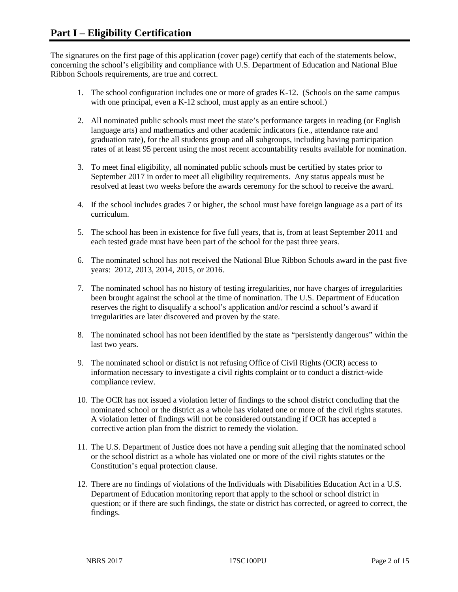The signatures on the first page of this application (cover page) certify that each of the statements below, concerning the school's eligibility and compliance with U.S. Department of Education and National Blue Ribbon Schools requirements, are true and correct.

- 1. The school configuration includes one or more of grades K-12. (Schools on the same campus with one principal, even a K-12 school, must apply as an entire school.)
- 2. All nominated public schools must meet the state's performance targets in reading (or English language arts) and mathematics and other academic indicators (i.e., attendance rate and graduation rate), for the all students group and all subgroups, including having participation rates of at least 95 percent using the most recent accountability results available for nomination.
- 3. To meet final eligibility, all nominated public schools must be certified by states prior to September 2017 in order to meet all eligibility requirements. Any status appeals must be resolved at least two weeks before the awards ceremony for the school to receive the award.
- 4. If the school includes grades 7 or higher, the school must have foreign language as a part of its curriculum.
- 5. The school has been in existence for five full years, that is, from at least September 2011 and each tested grade must have been part of the school for the past three years.
- 6. The nominated school has not received the National Blue Ribbon Schools award in the past five years: 2012, 2013, 2014, 2015, or 2016.
- 7. The nominated school has no history of testing irregularities, nor have charges of irregularities been brought against the school at the time of nomination. The U.S. Department of Education reserves the right to disqualify a school's application and/or rescind a school's award if irregularities are later discovered and proven by the state.
- 8. The nominated school has not been identified by the state as "persistently dangerous" within the last two years.
- 9. The nominated school or district is not refusing Office of Civil Rights (OCR) access to information necessary to investigate a civil rights complaint or to conduct a district-wide compliance review.
- 10. The OCR has not issued a violation letter of findings to the school district concluding that the nominated school or the district as a whole has violated one or more of the civil rights statutes. A violation letter of findings will not be considered outstanding if OCR has accepted a corrective action plan from the district to remedy the violation.
- 11. The U.S. Department of Justice does not have a pending suit alleging that the nominated school or the school district as a whole has violated one or more of the civil rights statutes or the Constitution's equal protection clause.
- 12. There are no findings of violations of the Individuals with Disabilities Education Act in a U.S. Department of Education monitoring report that apply to the school or school district in question; or if there are such findings, the state or district has corrected, or agreed to correct, the findings.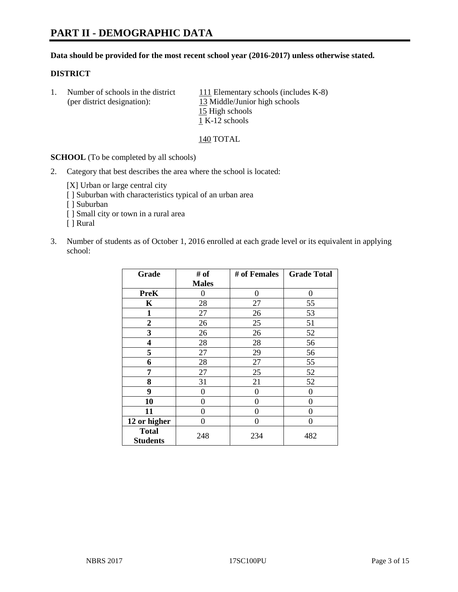# **PART II - DEMOGRAPHIC DATA**

#### **Data should be provided for the most recent school year (2016-2017) unless otherwise stated.**

#### **DISTRICT**

1. Number of schools in the district  $111$  Elementary schools (includes K-8) (per district designation): 13 Middle/Junior high schools 15 High schools 1 K-12 schools

140 TOTAL

**SCHOOL** (To be completed by all schools)

2. Category that best describes the area where the school is located:

[X] Urban or large central city [ ] Suburban with characteristics typical of an urban area

[ ] Suburban

- [ ] Small city or town in a rural area
- [ ] Rural
- 3. Number of students as of October 1, 2016 enrolled at each grade level or its equivalent in applying school:

| Grade                           | # of         | # of Females | <b>Grade Total</b> |
|---------------------------------|--------------|--------------|--------------------|
|                                 | <b>Males</b> |              |                    |
| <b>PreK</b>                     | 0            | 0            | 0                  |
| K                               | 28           | 27           | 55                 |
| $\mathbf{1}$                    | 27           | 26           | 53                 |
| $\overline{2}$                  | 26           | 25           | 51                 |
| 3                               | 26           | 26           | 52                 |
| 4                               | 28           | 28           | 56                 |
| 5                               | 27           | 29           | 56                 |
| 6                               | 28           | 27           | 55                 |
| 7                               | 27           | 25           | 52                 |
| 8                               | 31           | 21           | 52                 |
| 9                               | 0            | $\theta$     | $\Omega$           |
| 10                              | $\theta$     | 0            | 0                  |
| 11                              | 0            | 0            | $\Omega$           |
| 12 or higher                    | 0            | 0            | $\theta$           |
| <b>Total</b><br><b>Students</b> | 248          | 234          | 482                |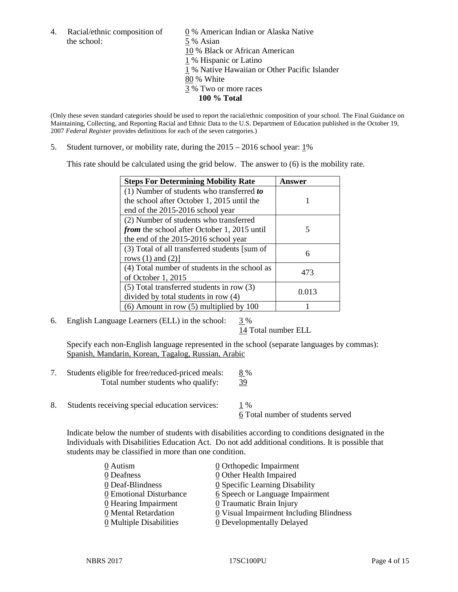the school: 5 % Asian

4. Racial/ethnic composition of  $\qquad \qquad \underline{0}$  % American Indian or Alaska Native 10 % Black or African American 1 % Hispanic or Latino 1 % Native Hawaiian or Other Pacific Islander 80 % White 3 % Two or more races **100 % Total**

(Only these seven standard categories should be used to report the racial/ethnic composition of your school. The Final Guidance on Maintaining, Collecting, and Reporting Racial and Ethnic Data to the U.S. Department of Education published in the October 19, 2007 *Federal Register* provides definitions for each of the seven categories.)

5. Student turnover, or mobility rate, during the 2015 – 2016 school year: 1%

This rate should be calculated using the grid below. The answer to (6) is the mobility rate.

| <b>Steps For Determining Mobility Rate</b>    | Answer |  |
|-----------------------------------------------|--------|--|
| (1) Number of students who transferred to     |        |  |
| the school after October 1, 2015 until the    |        |  |
| end of the 2015-2016 school year              |        |  |
| (2) Number of students who transferred        |        |  |
| from the school after October 1, 2015 until   | 5      |  |
| the end of the 2015-2016 school year          |        |  |
| (3) Total of all transferred students [sum of | 6      |  |
| rows $(1)$ and $(2)$ ]                        |        |  |
| (4) Total number of students in the school as | 473    |  |
| of October 1, 2015                            |        |  |
| $(5)$ Total transferred students in row $(3)$ | 0.013  |  |
| divided by total students in row (4)          |        |  |
| $(6)$ Amount in row $(5)$ multiplied by 100   |        |  |

6. English Language Learners (ELL) in the school:  $3\%$ 

14 Total number ELL

Specify each non-English language represented in the school (separate languages by commas): Spanish, Mandarin, Korean, Tagalog, Russian, Arabic

- 7. Students eligible for free/reduced-priced meals: 8 % Total number students who qualify: 39
- 8. Students receiving special education services: 1 %

6 Total number of students served

Indicate below the number of students with disabilities according to conditions designated in the Individuals with Disabilities Education Act. Do not add additional conditions. It is possible that students may be classified in more than one condition.

| 0 Autism                              | 0 Orthopedic Impairment                 |
|---------------------------------------|-----------------------------------------|
| 0 Deafness                            | 0 Other Health Impaired                 |
| 0 Deaf-Blindness                      | 0 Specific Learning Disability          |
| 0 Emotional Disturbance               | 6 Speech or Language Impairment         |
| 0 Hearing Impairment                  | 0 Traumatic Brain Injury                |
| 0 Mental Retardation                  | 0 Visual Impairment Including Blindness |
| $\underline{0}$ Multiple Disabilities | <b>0</b> Developmentally Delayed        |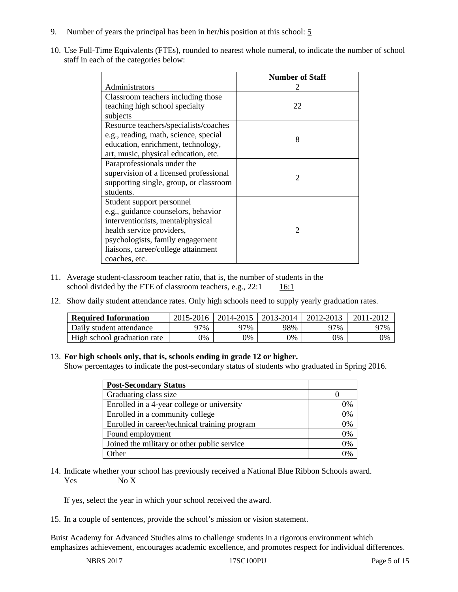- 9. Number of years the principal has been in her/his position at this school: 5
- 10. Use Full-Time Equivalents (FTEs), rounded to nearest whole numeral, to indicate the number of school staff in each of the categories below:

|                                        | <b>Number of Staff</b>      |  |  |
|----------------------------------------|-----------------------------|--|--|
| Administrators                         |                             |  |  |
| Classroom teachers including those     |                             |  |  |
| teaching high school specialty         | 22                          |  |  |
| subjects                               |                             |  |  |
| Resource teachers/specialists/coaches  |                             |  |  |
| e.g., reading, math, science, special  | 8                           |  |  |
| education, enrichment, technology,     |                             |  |  |
| art, music, physical education, etc.   |                             |  |  |
| Paraprofessionals under the            |                             |  |  |
| supervision of a licensed professional | $\mathcal{D}_{\mathcal{L}}$ |  |  |
| supporting single, group, or classroom |                             |  |  |
| students.                              |                             |  |  |
| Student support personnel              |                             |  |  |
| e.g., guidance counselors, behavior    |                             |  |  |
| interventionists, mental/physical      |                             |  |  |
| health service providers,              | $\mathfrak{D}$              |  |  |
| psychologists, family engagement       |                             |  |  |
| liaisons, career/college attainment    |                             |  |  |
| coaches, etc.                          |                             |  |  |

- 11. Average student-classroom teacher ratio, that is, the number of students in the school divided by the FTE of classroom teachers, e.g.,  $22:1$  16:1
- 12. Show daily student attendance rates. Only high schools need to supply yearly graduation rates.

| <b>Required Information</b> | 2015-2016 | 2014-2015 | 2013-2014 | 2012-2013 |     |
|-----------------------------|-----------|-----------|-----------|-----------|-----|
| Daily student attendance    | า7%       | 97%       | 98%       | ว7%       | 97% |
| High school graduation rate | 0%        | 0%        | 0%        | 9%        | 0%  |

## 13. **For high schools only, that is, schools ending in grade 12 or higher.**

Show percentages to indicate the post-secondary status of students who graduated in Spring 2016.

| <b>Post-Secondary Status</b>                  |    |
|-----------------------------------------------|----|
| Graduating class size                         |    |
| Enrolled in a 4-year college or university    | 0% |
| Enrolled in a community college               | 0% |
| Enrolled in career/technical training program | 0% |
| Found employment                              | 0% |
| Joined the military or other public service   | 0% |
| )ther                                         |    |

14. Indicate whether your school has previously received a National Blue Ribbon Schools award. Yes No X

If yes, select the year in which your school received the award.

15. In a couple of sentences, provide the school's mission or vision statement.

Buist Academy for Advanced Studies aims to challenge students in a rigorous environment which emphasizes achievement, encourages academic excellence, and promotes respect for individual differences.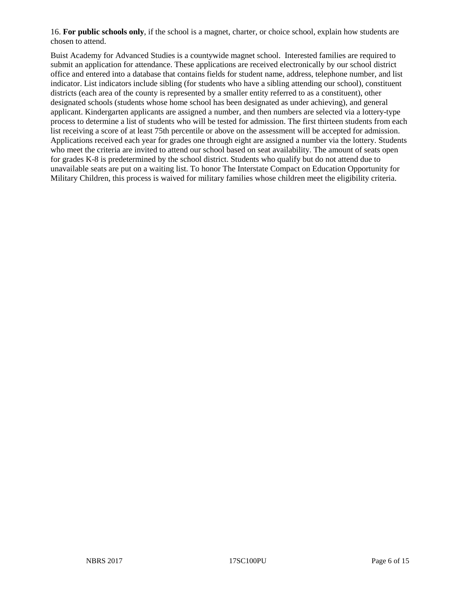16. **For public schools only**, if the school is a magnet, charter, or choice school, explain how students are chosen to attend.

Buist Academy for Advanced Studies is a countywide magnet school. Interested families are required to submit an application for attendance. These applications are received electronically by our school district office and entered into a database that contains fields for student name, address, telephone number, and list indicator. List indicators include sibling (for students who have a sibling attending our school), constituent districts (each area of the county is represented by a smaller entity referred to as a constituent), other designated schools (students whose home school has been designated as under achieving), and general applicant. Kindergarten applicants are assigned a number, and then numbers are selected via a lottery-type process to determine a list of students who will be tested for admission. The first thirteen students from each list receiving a score of at least 75th percentile or above on the assessment will be accepted for admission. Applications received each year for grades one through eight are assigned a number via the lottery. Students who meet the criteria are invited to attend our school based on seat availability. The amount of seats open for grades K-8 is predetermined by the school district. Students who qualify but do not attend due to unavailable seats are put on a waiting list. To honor The Interstate Compact on Education Opportunity for Military Children, this process is waived for military families whose children meet the eligibility criteria.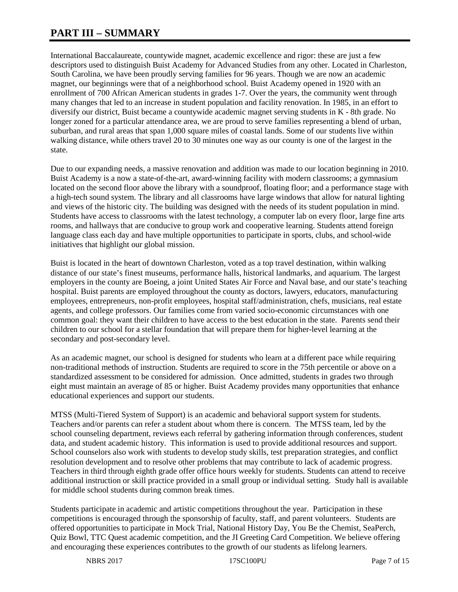# **PART III – SUMMARY**

International Baccalaureate, countywide magnet, academic excellence and rigor: these are just a few descriptors used to distinguish Buist Academy for Advanced Studies from any other. Located in Charleston, South Carolina, we have been proudly serving families for 96 years. Though we are now an academic magnet, our beginnings were that of a neighborhood school. Buist Academy opened in 1920 with an enrollment of 700 African American students in grades 1-7. Over the years, the community went through many changes that led to an increase in student population and facility renovation. In 1985, in an effort to diversify our district, Buist became a countywide academic magnet serving students in K - 8th grade. No longer zoned for a particular attendance area, we are proud to serve families representing a blend of urban, suburban, and rural areas that span 1,000 square miles of coastal lands. Some of our students live within walking distance, while others travel 20 to 30 minutes one way as our county is one of the largest in the state.

Due to our expanding needs, a massive renovation and addition was made to our location beginning in 2010. Buist Academy is a now a state-of-the-art, award-winning facility with modern classrooms; a gymnasium located on the second floor above the library with a soundproof, floating floor; and a performance stage with a high-tech sound system. The library and all classrooms have large windows that allow for natural lighting and views of the historic city. The building was designed with the needs of its student population in mind. Students have access to classrooms with the latest technology, a computer lab on every floor, large fine arts rooms, and hallways that are conducive to group work and cooperative learning. Students attend foreign language class each day and have multiple opportunities to participate in sports, clubs, and school-wide initiatives that highlight our global mission.

Buist is located in the heart of downtown Charleston, voted as a top travel destination, within walking distance of our state's finest museums, performance halls, historical landmarks, and aquarium. The largest employers in the county are Boeing, a joint United States Air Force and Naval base, and our state's teaching hospital. Buist parents are employed throughout the county as doctors, lawyers, educators, manufacturing employees, entrepreneurs, non-profit employees, hospital staff/administration, chefs, musicians, real estate agents, and college professors. Our families come from varied socio-economic circumstances with one common goal: they want their children to have access to the best education in the state. Parents send their children to our school for a stellar foundation that will prepare them for higher-level learning at the secondary and post-secondary level.

As an academic magnet, our school is designed for students who learn at a different pace while requiring non-traditional methods of instruction. Students are required to score in the 75th percentile or above on a standardized assessment to be considered for admission. Once admitted, students in grades two through eight must maintain an average of 85 or higher. Buist Academy provides many opportunities that enhance educational experiences and support our students.

MTSS (Multi-Tiered System of Support) is an academic and behavioral support system for students. Teachers and/or parents can refer a student about whom there is concern. The MTSS team, led by the school counseling department, reviews each referral by gathering information through conferences, student data, and student academic history. This information is used to provide additional resources and support. School counselors also work with students to develop study skills, test preparation strategies, and conflict resolution development and to resolve other problems that may contribute to lack of academic progress. Teachers in third through eighth grade offer office hours weekly for students. Students can attend to receive additional instruction or skill practice provided in a small group or individual setting. Study hall is available for middle school students during common break times.

Students participate in academic and artistic competitions throughout the year. Participation in these competitions is encouraged through the sponsorship of faculty, staff, and parent volunteers. Students are offered opportunities to participate in Mock Trial, National History Day, You Be the Chemist, SeaPerch, Quiz Bowl, TTC Quest academic competition, and the JI Greeting Card Competition. We believe offering and encouraging these experiences contributes to the growth of our students as lifelong learners.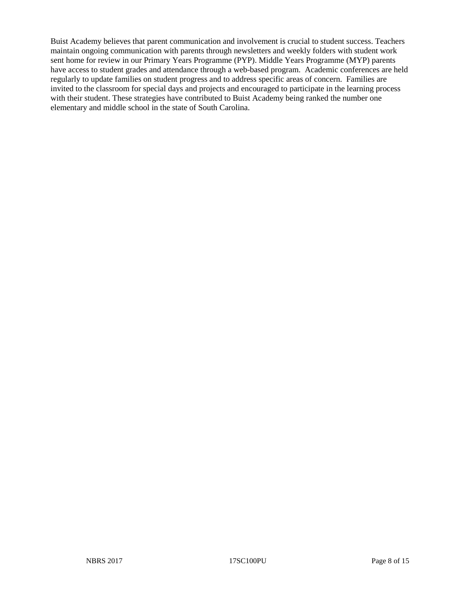Buist Academy believes that parent communication and involvement is crucial to student success. Teachers maintain ongoing communication with parents through newsletters and weekly folders with student work sent home for review in our Primary Years Programme (PYP). Middle Years Programme (MYP) parents have access to student grades and attendance through a web-based program. Academic conferences are held regularly to update families on student progress and to address specific areas of concern. Families are invited to the classroom for special days and projects and encouraged to participate in the learning process with their student. These strategies have contributed to Buist Academy being ranked the number one elementary and middle school in the state of South Carolina.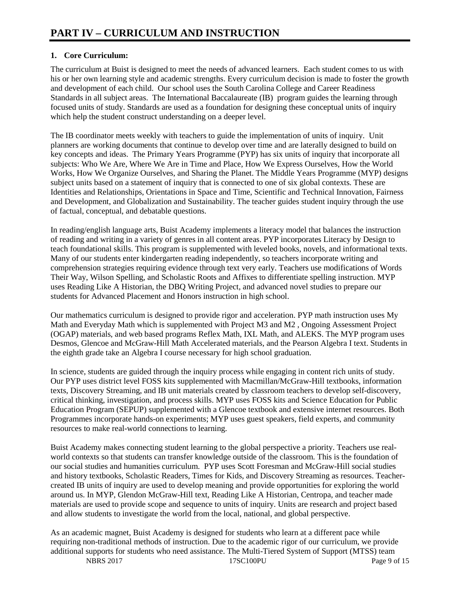# **1. Core Curriculum:**

The curriculum at Buist is designed to meet the needs of advanced learners. Each student comes to us with his or her own learning style and academic strengths. Every curriculum decision is made to foster the growth and development of each child. Our school uses the South Carolina College and Career Readiness Standards in all subject areas. The International Baccalaureate (IB) program guides the learning through focused units of study. Standards are used as a foundation for designing these conceptual units of inquiry which help the student construct understanding on a deeper level.

The IB coordinator meets weekly with teachers to guide the implementation of units of inquiry. Unit planners are working documents that continue to develop over time and are laterally designed to build on key concepts and ideas. The Primary Years Programme (PYP) has six units of inquiry that incorporate all subjects: Who We Are, Where We Are in Time and Place, How We Express Ourselves, How the World Works, How We Organize Ourselves, and Sharing the Planet. The Middle Years Programme (MYP) designs subject units based on a statement of inquiry that is connected to one of six global contexts. These are Identities and Relationships, Orientations in Space and Time, Scientific and Technical Innovation, Fairness and Development, and Globalization and Sustainability. The teacher guides student inquiry through the use of factual, conceptual, and debatable questions.

In reading/english language arts, Buist Academy implements a literacy model that balances the instruction of reading and writing in a variety of genres in all content areas. PYP incorporates Literacy by Design to teach foundational skills. This program is supplemented with leveled books, novels, and informational texts. Many of our students enter kindergarten reading independently, so teachers incorporate writing and comprehension strategies requiring evidence through text very early. Teachers use modifications of Words Their Way, Wilson Spelling, and Scholastic Roots and Affixes to differentiate spelling instruction. MYP uses Reading Like A Historian, the DBQ Writing Project, and advanced novel studies to prepare our students for Advanced Placement and Honors instruction in high school.

Our mathematics curriculum is designed to provide rigor and acceleration. PYP math instruction uses My Math and Everyday Math which is supplemented with Project M3 and M2 , Ongoing Assessment Project (OGAP) materials, and web based programs Reflex Math, IXL Math, and ALEKS. The MYP program uses Desmos, Glencoe and McGraw-Hill Math Accelerated materials, and the Pearson Algebra I text. Students in the eighth grade take an Algebra I course necessary for high school graduation.

In science, students are guided through the inquiry process while engaging in content rich units of study. Our PYP uses district level FOSS kits supplemented with Macmillan/McGraw-Hill textbooks, information texts, Discovery Streaming, and IB unit materials created by classroom teachers to develop self-discovery, critical thinking, investigation, and process skills. MYP uses FOSS kits and Science Education for Public Education Program (SEPUP) supplemented with a Glencoe textbook and extensive internet resources. Both Programmes incorporate hands-on experiments; MYP uses guest speakers, field experts, and community resources to make real-world connections to learning.

Buist Academy makes connecting student learning to the global perspective a priority. Teachers use realworld contexts so that students can transfer knowledge outside of the classroom. This is the foundation of our social studies and humanities curriculum. PYP uses Scott Foresman and McGraw-Hill social studies and history textbooks, Scholastic Readers, Times for Kids, and Discovery Streaming as resources. Teachercreated IB units of inquiry are used to develop meaning and provide opportunities for exploring the world around us. In MYP, Glendon McGraw-Hill text, Reading Like A Historian, Centropa, and teacher made materials are used to provide scope and sequence to units of inquiry. Units are research and project based and allow students to investigate the world from the local, national, and global perspective.

NBRS 2017 **17SC100PU** Page 9 of 15 As an academic magnet, Buist Academy is designed for students who learn at a different pace while requiring non-traditional methods of instruction. Due to the academic rigor of our curriculum, we provide additional supports for students who need assistance. The Multi-Tiered System of Support (MTSS) team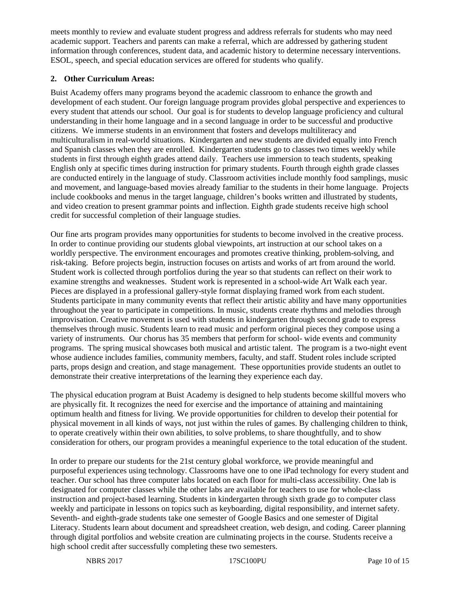meets monthly to review and evaluate student progress and address referrals for students who may need academic support. Teachers and parents can make a referral, which are addressed by gathering student information through conferences, student data, and academic history to determine necessary interventions. ESOL, speech, and special education services are offered for students who qualify.

# **2. Other Curriculum Areas:**

Buist Academy offers many programs beyond the academic classroom to enhance the growth and development of each student. Our foreign language program provides global perspective and experiences to every student that attends our school. Our goal is for students to develop language proficiency and cultural understanding in their home language and in a second language in order to be successful and productive citizens. We immerse students in an environment that fosters and develops multiliteracy and multiculturalism in real-world situations. Kindergarten and new students are divided equally into French and Spanish classes when they are enrolled. Kindergarten students go to classes two times weekly while students in first through eighth grades attend daily. Teachers use immersion to teach students, speaking English only at specific times during instruction for primary students. Fourth through eighth grade classes are conducted entirely in the language of study. Classroom activities include monthly food samplings, music and movement, and language-based movies already familiar to the students in their home language. Projects include cookbooks and menus in the target language, children's books written and illustrated by students, and video creation to present grammar points and inflection. Eighth grade students receive high school credit for successful completion of their language studies.

Our fine arts program provides many opportunities for students to become involved in the creative process. In order to continue providing our students global viewpoints, art instruction at our school takes on a worldly perspective. The environment encourages and promotes creative thinking, problem-solving, and risk-taking. Before projects begin, instruction focuses on artists and works of art from around the world. Student work is collected through portfolios during the year so that students can reflect on their work to examine strengths and weaknesses. Student work is represented in a school-wide Art Walk each year. Pieces are displayed in a professional gallery-style format displaying framed work from each student. Students participate in many community events that reflect their artistic ability and have many opportunities throughout the year to participate in competitions. In music, students create rhythms and melodies through improvisation. Creative movement is used with students in kindergarten through second grade to express themselves through music. Students learn to read music and perform original pieces they compose using a variety of instruments. Our chorus has 35 members that perform for school- wide events and community programs. The spring musical showcases both musical and artistic talent. The program is a two-night event whose audience includes families, community members, faculty, and staff. Student roles include scripted parts, props design and creation, and stage management. These opportunities provide students an outlet to demonstrate their creative interpretations of the learning they experience each day.

The physical education program at Buist Academy is designed to help students become skillful movers who are physically fit. It recognizes the need for exercise and the importance of attaining and maintaining optimum health and fitness for living. We provide opportunities for children to develop their potential for physical movement in all kinds of ways, not just within the rules of games. By challenging children to think, to operate creatively within their own abilities, to solve problems, to share thoughtfully, and to show consideration for others, our program provides a meaningful experience to the total education of the student.

In order to prepare our students for the 21st century global workforce, we provide meaningful and purposeful experiences using technology. Classrooms have one to one iPad technology for every student and teacher. Our school has three computer labs located on each floor for multi-class accessibility. One lab is designated for computer classes while the other labs are available for teachers to use for whole-class instruction and project-based learning. Students in kindergarten through sixth grade go to computer class weekly and participate in lessons on topics such as keyboarding, digital responsibility, and internet safety. Seventh- and eighth-grade students take one semester of Google Basics and one semester of Digital Literacy. Students learn about document and spreadsheet creation, web design, and coding. Career planning through digital portfolios and website creation are culminating projects in the course. Students receive a high school credit after successfully completing these two semesters.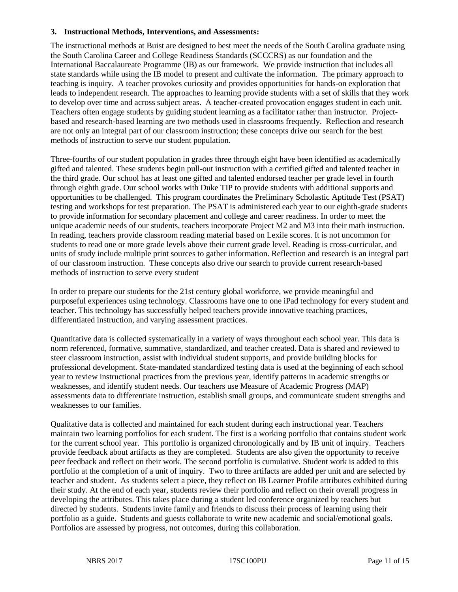#### **3. Instructional Methods, Interventions, and Assessments:**

The instructional methods at Buist are designed to best meet the needs of the South Carolina graduate using the South Carolina Career and College Readiness Standards (SCCCRS) as our foundation and the International Baccalaureate Programme (IB) as our framework. We provide instruction that includes all state standards while using the IB model to present and cultivate the information. The primary approach to teaching is inquiry. A teacher provokes curiosity and provides opportunities for hands-on exploration that leads to independent research. The approaches to learning provide students with a set of skills that they work to develop over time and across subject areas. A teacher-created provocation engages student in each unit. Teachers often engage students by guiding student learning as a facilitator rather than instructor. Projectbased and research-based learning are two methods used in classrooms frequently. Reflection and research are not only an integral part of our classroom instruction; these concepts drive our search for the best methods of instruction to serve our student population.

Three-fourths of our student population in grades three through eight have been identified as academically gifted and talented. These students begin pull-out instruction with a certified gifted and talented teacher in the third grade. Our school has at least one gifted and talented endorsed teacher per grade level in fourth through eighth grade. Our school works with Duke TIP to provide students with additional supports and opportunities to be challenged. This program coordinates the Preliminary Scholastic Aptitude Test (PSAT) testing and workshops for test preparation. The PSAT is administered each year to our eighth-grade students to provide information for secondary placement and college and career readiness. In order to meet the unique academic needs of our students, teachers incorporate Project M2 and M3 into their math instruction. In reading, teachers provide classroom reading material based on Lexile scores. It is not uncommon for students to read one or more grade levels above their current grade level. Reading is cross-curricular, and units of study include multiple print sources to gather information. Reflection and research is an integral part of our classroom instruction. These concepts also drive our search to provide current research-based methods of instruction to serve every student

In order to prepare our students for the 21st century global workforce, we provide meaningful and purposeful experiences using technology. Classrooms have one to one iPad technology for every student and teacher. This technology has successfully helped teachers provide innovative teaching practices, differentiated instruction, and varying assessment practices.

Quantitative data is collected systematically in a variety of ways throughout each school year. This data is norm referenced, formative, summative, standardized, and teacher created. Data is shared and reviewed to steer classroom instruction, assist with individual student supports, and provide building blocks for professional development. State-mandated standardized testing data is used at the beginning of each school year to review instructional practices from the previous year, identify patterns in academic strengths or weaknesses, and identify student needs. Our teachers use Measure of Academic Progress (MAP) assessments data to differentiate instruction, establish small groups, and communicate student strengths and weaknesses to our families.

Qualitative data is collected and maintained for each student during each instructional year. Teachers maintain two learning portfolios for each student. The first is a working portfolio that contains student work for the current school year. This portfolio is organized chronologically and by IB unit of inquiry. Teachers provide feedback about artifacts as they are completed. Students are also given the opportunity to receive peer feedback and reflect on their work. The second portfolio is cumulative. Student work is added to this portfolio at the completion of a unit of inquiry. Two to three artifacts are added per unit and are selected by teacher and student. As students select a piece, they reflect on IB Learner Profile attributes exhibited during their study. At the end of each year, students review their portfolio and reflect on their overall progress in developing the attributes. This takes place during a student led conference organized by teachers but directed by students. Students invite family and friends to discuss their process of learning using their portfolio as a guide. Students and guests collaborate to write new academic and social/emotional goals. Portfolios are assessed by progress, not outcomes, during this collaboration.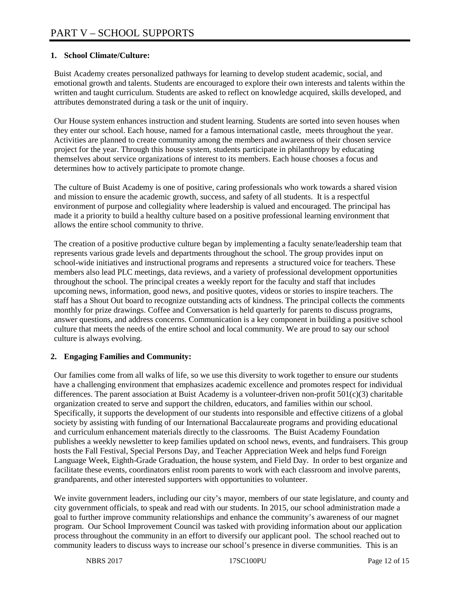# **1. School Climate/Culture:**

Buist Academy creates personalized pathways for learning to develop student academic, social, and emotional growth and talents. Students are encouraged to explore their own interests and talents within the written and taught curriculum. Students are asked to reflect on knowledge acquired, skills developed, and attributes demonstrated during a task or the unit of inquiry.

Our House system enhances instruction and student learning. Students are sorted into seven houses when they enter our school. Each house, named for a famous international castle, meets throughout the year. Activities are planned to create community among the members and awareness of their chosen service project for the year. Through this house system, students participate in philanthropy by educating themselves about service organizations of interest to its members. Each house chooses a focus and determines how to actively participate to promote change.

The culture of Buist Academy is one of positive, caring professionals who work towards a shared vision and mission to ensure the academic growth, success, and safety of all students. It is a respectful environment of purpose and collegiality where leadership is valued and encouraged. The principal has made it a priority to build a healthy culture based on a positive professional learning environment that allows the entire school community to thrive.

The creation of a positive productive culture began by implementing a faculty senate/leadership team that represents various grade levels and departments throughout the school. The group provides input on school-wide initiatives and instructional programs and represents a structured voice for teachers. These members also lead PLC meetings, data reviews, and a variety of professional development opportunities throughout the school. The principal creates a weekly report for the faculty and staff that includes upcoming news, information, good news, and positive quotes, videos or stories to inspire teachers. The staff has a Shout Out board to recognize outstanding acts of kindness. The principal collects the comments monthly for prize drawings. Coffee and Conversation is held quarterly for parents to discuss programs, answer questions, and address concerns. Communication is a key component in building a positive school culture that meets the needs of the entire school and local community. We are proud to say our school culture is always evolving.

## **2. Engaging Families and Community:**

Our families come from all walks of life, so we use this diversity to work together to ensure our students have a challenging environment that emphasizes academic excellence and promotes respect for individual differences. The parent association at Buist Academy is a volunteer-driven non-profit 501(c)(3) charitable organization created to serve and support the children, educators, and families within our school. Specifically, it supports the development of our students into responsible and effective citizens of a global society by assisting with funding of our International Baccalaureate programs and providing educational and curriculum enhancement materials directly to the classrooms. The Buist Academy Foundation publishes a weekly newsletter to keep families updated on school news, events, and fundraisers. This group hosts the Fall Festival, Special Persons Day, and Teacher Appreciation Week and helps fund Foreign Language Week, Eighth-Grade Graduation, the house system, and Field Day. In order to best organize and facilitate these events, coordinators enlist room parents to work with each classroom and involve parents, grandparents, and other interested supporters with opportunities to volunteer.

We invite government leaders, including our city's mayor, members of our state legislature, and county and city government officials, to speak and read with our students. In 2015, our school administration made a goal to further improve community relationships and enhance the community's awareness of our magnet program. Our School Improvement Council was tasked with providing information about our application process throughout the community in an effort to diversify our applicant pool. The school reached out to community leaders to discuss ways to increase our school's presence in diverse communities. This is an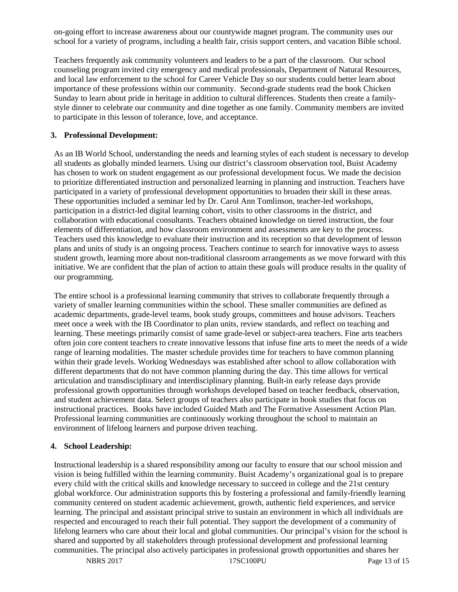on-going effort to increase awareness about our countywide magnet program. The community uses our school for a variety of programs, including a health fair, crisis support centers, and vacation Bible school.

Teachers frequently ask community volunteers and leaders to be a part of the classroom. Our school counseling program invited city emergency and medical professionals, Department of Natural Resources, and local law enforcement to the school for Career Vehicle Day so our students could better learn about importance of these professions within our community. Second-grade students read the book Chicken Sunday to learn about pride in heritage in addition to cultural differences. Students then create a familystyle dinner to celebrate our community and dine together as one family. Community members are invited to participate in this lesson of tolerance, love, and acceptance.

## **3. Professional Development:**

As an IB World School, understanding the needs and learning styles of each student is necessary to develop all students as globally minded learners. Using our district's classroom observation tool, Buist Academy has chosen to work on student engagement as our professional development focus. We made the decision to prioritize differentiated instruction and personalized learning in planning and instruction. Teachers have participated in a variety of professional development opportunities to broaden their skill in these areas. These opportunities included a seminar led by Dr. Carol Ann Tomlinson, teacher-led workshops, participation in a district-led digital learning cohort, visits to other classrooms in the district, and collaboration with educational consultants. Teachers obtained knowledge on tiered instruction, the four elements of differentiation, and how classroom environment and assessments are key to the process. Teachers used this knowledge to evaluate their instruction and its reception so that development of lesson plans and units of study is an ongoing process. Teachers continue to search for innovative ways to assess student growth, learning more about non-traditional classroom arrangements as we move forward with this initiative. We are confident that the plan of action to attain these goals will produce results in the quality of our programming.

The entire school is a professional learning community that strives to collaborate frequently through a variety of smaller learning communities within the school. These smaller communities are defined as academic departments, grade-level teams, book study groups, committees and house advisors. Teachers meet once a week with the IB Coordinator to plan units, review standards, and reflect on teaching and learning. These meetings primarily consist of same grade-level or subject-area teachers. Fine arts teachers often join core content teachers to create innovative lessons that infuse fine arts to meet the needs of a wide range of learning modalities. The master schedule provides time for teachers to have common planning within their grade levels. Working Wednesdays was established after school to allow collaboration with different departments that do not have common planning during the day. This time allows for vertical articulation and transdisciplinary and interdisciplinary planning. Built-in early release days provide professional growth opportunities through workshops developed based on teacher feedback, observation, and student achievement data. Select groups of teachers also participate in book studies that focus on instructional practices. Books have included Guided Math and The Formative Assessment Action Plan. Professional learning communities are continuously working throughout the school to maintain an environment of lifelong learners and purpose driven teaching.

## **4. School Leadership:**

Instructional leadership is a shared responsibility among our faculty to ensure that our school mission and vision is being fulfilled within the learning community. Buist Academy's organizational goal is to prepare every child with the critical skills and knowledge necessary to succeed in college and the 21st century global workforce. Our administration supports this by fostering a professional and family-friendly learning community centered on student academic achievement, growth, authentic field experiences, and service learning. The principal and assistant principal strive to sustain an environment in which all individuals are respected and encouraged to reach their full potential. They support the development of a community of lifelong learners who care about their local and global communities. Our principal's vision for the school is shared and supported by all stakeholders through professional development and professional learning communities. The principal also actively participates in professional growth opportunities and shares her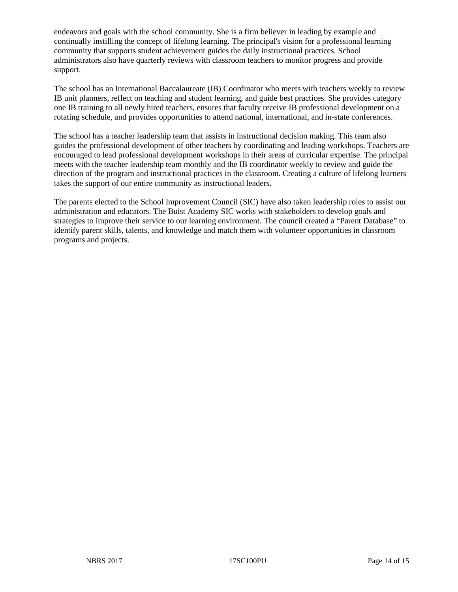endeavors and goals with the school community. She is a firm believer in leading by example and continually instilling the concept of lifelong learning. The principal's vision for a professional learning community that supports student achievement guides the daily instructional practices. School administrators also have quarterly reviews with classroom teachers to monitor progress and provide support.

The school has an International Baccalaureate (IB) Coordinator who meets with teachers weekly to review IB unit planners, reflect on teaching and student learning, and guide best practices. She provides category one IB training to all newly hired teachers, ensures that faculty receive IB professional development on a rotating schedule, and provides opportunities to attend national, international, and in-state conferences.

The school has a teacher leadership team that assists in instructional decision making. This team also guides the professional development of other teachers by coordinating and leading workshops. Teachers are encouraged to lead professional development workshops in their areas of curricular expertise. The principal meets with the teacher leadership team monthly and the IB coordinator weekly to review and guide the direction of the program and instructional practices in the classroom. Creating a culture of lifelong learners takes the support of our entire community as instructional leaders.

The parents elected to the School Improvement Council (SIC) have also taken leadership roles to assist our administration and educators. The Buist Academy SIC works with stakeholders to develop goals and strategies to improve their service to our learning environment. The council created a "Parent Database" to identify parent skills, talents, and knowledge and match them with volunteer opportunities in classroom programs and projects.